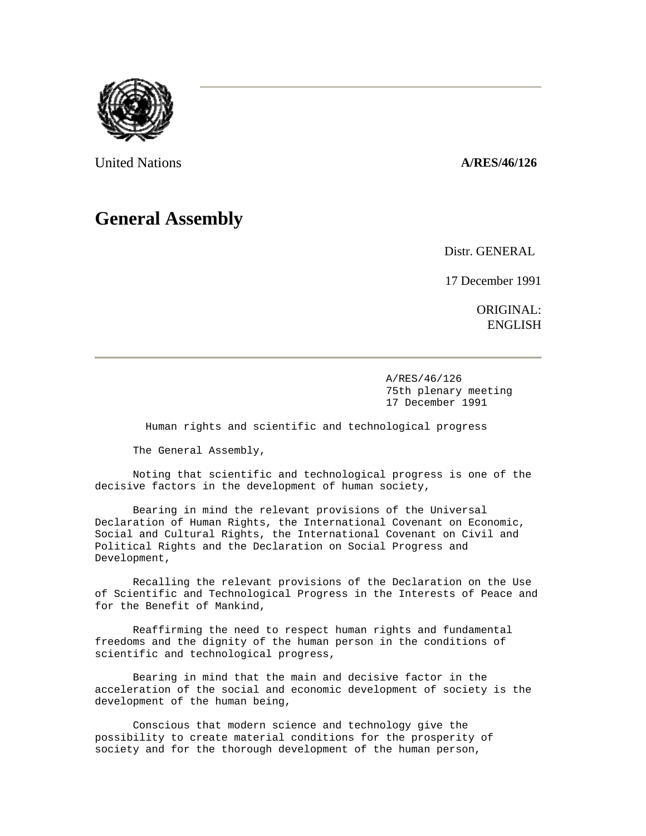

United Nations **A/RES/46/126** 

## **General Assembly**

Distr. GENERAL

17 December 1991

ORIGINAL: ENGLISH

 A/RES/46/126 75th plenary meeting 17 December 1991

Human rights and scientific and technological progress

The General Assembly,

 Noting that scientific and technological progress is one of the decisive factors in the development of human society,

 Bearing in mind the relevant provisions of the Universal Declaration of Human Rights, the International Covenant on Economic, Social and Cultural Rights, the International Covenant on Civil and Political Rights and the Declaration on Social Progress and Development,

 Recalling the relevant provisions of the Declaration on the Use of Scientific and Technological Progress in the Interests of Peace and for the Benefit of Mankind,

 Reaffirming the need to respect human rights and fundamental freedoms and the dignity of the human person in the conditions of scientific and technological progress,

 Bearing in mind that the main and decisive factor in the acceleration of the social and economic development of society is the development of the human being,

 Conscious that modern science and technology give the possibility to create material conditions for the prosperity of society and for the thorough development of the human person,